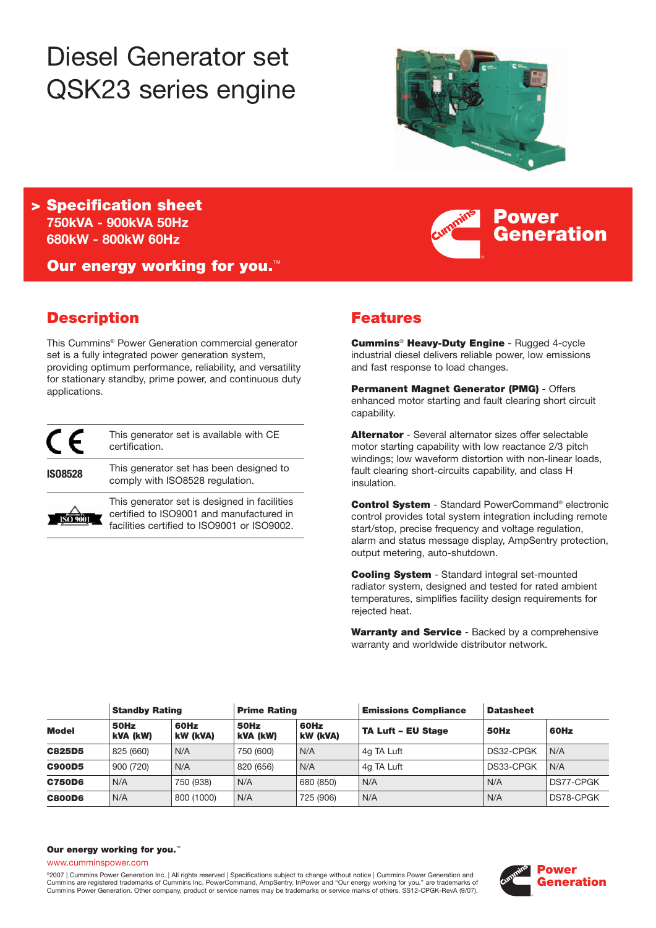# Diesel Generator set QSK23 series engine



**Power**

**Generation**

**> Specification sheet 750kVA - 900kVA 50Hz 680kW - 800kW 60Hz**

**Our energy working for you.**™

# **Description**

This Cummins® Power Generation commercial generator set is a fully integrated power generation system, providing optimum performance, reliability, and versatility for stationary standby, prime power, and continuous duty applications.

|                | This generator set is available with CE<br>certification.                                                                               |
|----------------|-----------------------------------------------------------------------------------------------------------------------------------------|
| <b>IS08528</b> | This generator set has been designed to<br>comply with ISO8528 regulation.                                                              |
|                | This generator set is designed in facilities<br>certified to ISO9001 and manufactured in<br>facilities certified to ISO9001 or ISO9002. |

# **Features**

**Cummins**® **Heavy-Duty Engine** - Rugged 4-cycle industrial diesel delivers reliable power, low emissions and fast response to load changes.

**Permanent Magnet Generator (PMG)** - Offers enhanced motor starting and fault clearing short circuit capability.

**Alternator** - Several alternator sizes offer selectable motor starting capability with low reactance 2/3 pitch windings; low waveform distortion with non-linear loads, fault clearing short-circuits capability, and class H insulation.

**Control System** - Standard PowerCommand® electronic control provides total system integration including remote start/stop, precise frequency and voltage regulation, alarm and status message display, AmpSentry protection, output metering, auto-shutdown.

**Cooling System** - Standard integral set-mounted radiator system, designed and tested for rated ambient temperatures, simplifies facility design requirements for rejected heat.

**Warranty and Service** - Backed by a comprehensive warranty and worldwide distributor network.

|               |                  | <b>Standby Rating</b>   |                  | <b>Prime Rating</b> | <b>Emissions Compliance</b> | <b>Datasheet</b> |           |
|---------------|------------------|-------------------------|------------------|---------------------|-----------------------------|------------------|-----------|
| <b>Model</b>  | 50Hz<br>kVA (kW) | 60Hz<br><b>kW (kVA)</b> | 50Hz<br>kVA (kW) | 60Hz<br>kW (kVA)    | <b>TA Luft - EU Stage</b>   | 50Hz             | 60Hz      |
| <b>C825D5</b> | 825 (660)        | I N/A                   | 750 (600)        | N/A                 | 4g TA Luft                  | DS32-CPGK        | N/A       |
| <b>C900D5</b> | 900 (720)        | N/A                     | 820 (656)        | N/A                 | 4g TA Luft                  | DS33-CPGK        | N/A       |
| <b>C750D6</b> | N/A              | 750 (938)               | N/A              | 680 (850)           | N/A                         | N/A              | DS77-CPGK |
| <b>C800D6</b> | N/A              | 800 (1000)              | N/A              | 725 (906)           | N/A                         | N/A              | DS78-CPGK |

#### **Our energy working for you.**™

www.cumminspower.com

°2007 | Cummins Power Generation Inc. | All rights reserved | Specifications subject to change without notice | Cummins Power Generation and<br>Cummins are registered trademarks of Cummins Inc. PowerCommand, AmpSentry, InPow Cummins Power Generation. Other company, product or service names may be trademarks or service marks of others. SS12-CPGK-RevA (9/07).

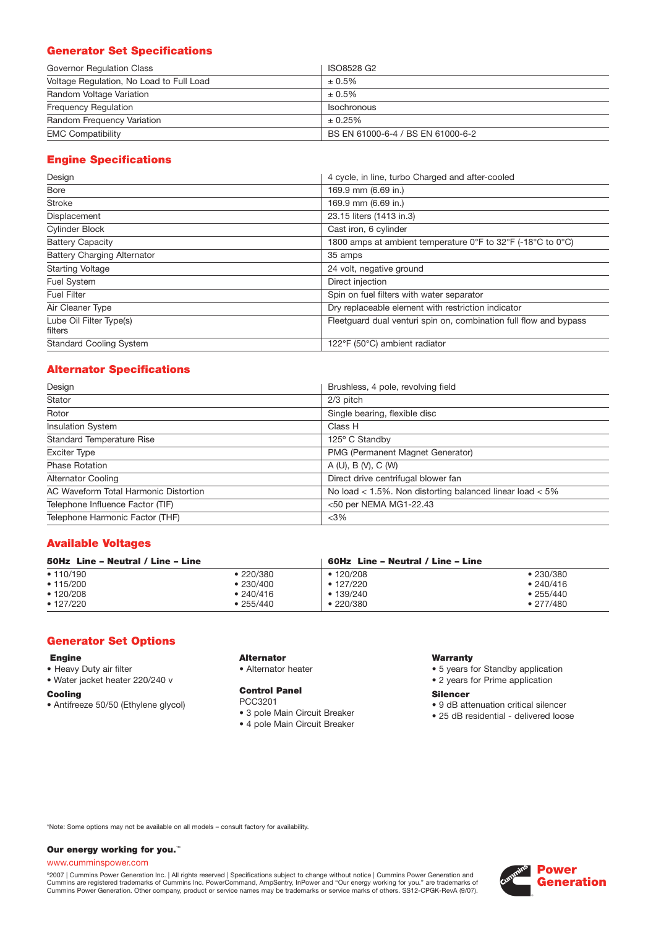# **Generator Set Specifications**

| Governor Regulation Class                | ISO8528 G2                        |
|------------------------------------------|-----------------------------------|
| Voltage Regulation, No Load to Full Load | $\pm 0.5\%$                       |
| Random Voltage Variation                 | $± 0.5\%$                         |
| <b>Frequency Requlation</b>              | <b>Isochronous</b>                |
| Random Frequency Variation               | ± 0.25%                           |
| <b>EMC Compatibility</b>                 | BS EN 61000-6-4 / BS EN 61000-6-2 |

# **Engine Specifications**

| Design                             | 4 cycle, in line, turbo Charged and after-cooled                  |
|------------------------------------|-------------------------------------------------------------------|
| Bore                               | 169.9 mm (6.69 in.)                                               |
| <b>Stroke</b>                      | 169.9 mm (6.69 in.)                                               |
| Displacement                       | 23.15 liters (1413 in.3)                                          |
| <b>Cylinder Block</b>              | Cast iron, 6 cylinder                                             |
| <b>Battery Capacity</b>            | 1800 amps at ambient temperature 0°F to 32°F (-18°C to 0°C)       |
| <b>Battery Charging Alternator</b> | 35 amps                                                           |
| <b>Starting Voltage</b>            | 24 volt, negative ground                                          |
| Fuel System                        | Direct injection                                                  |
| <b>Fuel Filter</b>                 | Spin on fuel filters with water separator                         |
| Air Cleaner Type                   | Dry replaceable element with restriction indicator                |
| Lube Oil Filter Type(s)<br>filters | Fleetquard dual venturi spin on, combination full flow and bypass |
| <b>Standard Cooling System</b>     | 122°F (50°C) ambient radiator                                     |

## **Alternator Specifications**

| Design                                | Brushless, 4 pole, revolving field                           |
|---------------------------------------|--------------------------------------------------------------|
| Stator                                | 2/3 pitch                                                    |
| Rotor                                 | Single bearing, flexible disc                                |
| <b>Insulation System</b>              | Class H                                                      |
| <b>Standard Temperature Rise</b>      | 125° C Standby                                               |
| <b>Exciter Type</b>                   | PMG (Permanent Magnet Generator)                             |
| <b>Phase Rotation</b>                 | A (U), B (V), C (W)                                          |
| <b>Alternator Cooling</b>             | Direct drive centrifugal blower fan                          |
| AC Waveform Total Harmonic Distortion | No load $<$ 1.5%. Non distorting balanced linear load $<$ 5% |
| Telephone Influence Factor (TIF)      | <50 per NEMA MG1-22.43                                       |
| Telephone Harmonic Factor (THF)       | $<$ 3%                                                       |

## **Available Voltages**

| 50Hz Line - Neutral / Line - Line |           | 60Hz Line – Neutral / Line – Line |           |
|-----------------------------------|-----------|-----------------------------------|-----------|
| • 110/190                         | •220/380  | • 120/208                         | •230/380  |
| • 115/200                         | •230/400  | $\cdot$ 127/220                   | • 240/416 |
| $\cdot$ 120/208                   | • 240/416 | • 139/240                         | •255/440  |
| $\cdot$ 127/220                   | •255/440  | •220/380                          | • 277/480 |

## **Generator Set Options**

#### **Engine**

- Heavy Duty air filter
- Water jacket heater 220/240 v

#### **Cooling**

• Antifreeze 50/50 (Ethylene glycol)

# **Alternator**

• Alternator heater

#### **Control Panel**

- PCC3201
- 3 pole Main Circuit Breaker
- 4 pole Main Circuit Breaker

#### **Warranty**

- 5 years for Standby application
- 2 years for Prime application

#### **Silencer**

- 9 dB attenuation critical silencer
- 25 dB residential delivered loose

\*Note: Some options may not be available on all models – consult factory for availability.

#### **Our energy working for you.**™

#### www.cumminspower.com

°2007 | Cummins Power Generation Inc. | All rights reserved | Specifications subject to change without notice | Cummins Power Generation and<br>Cummins are registered trademarks of Cummins Inc. PowerCommand, AmpSentry, InPow

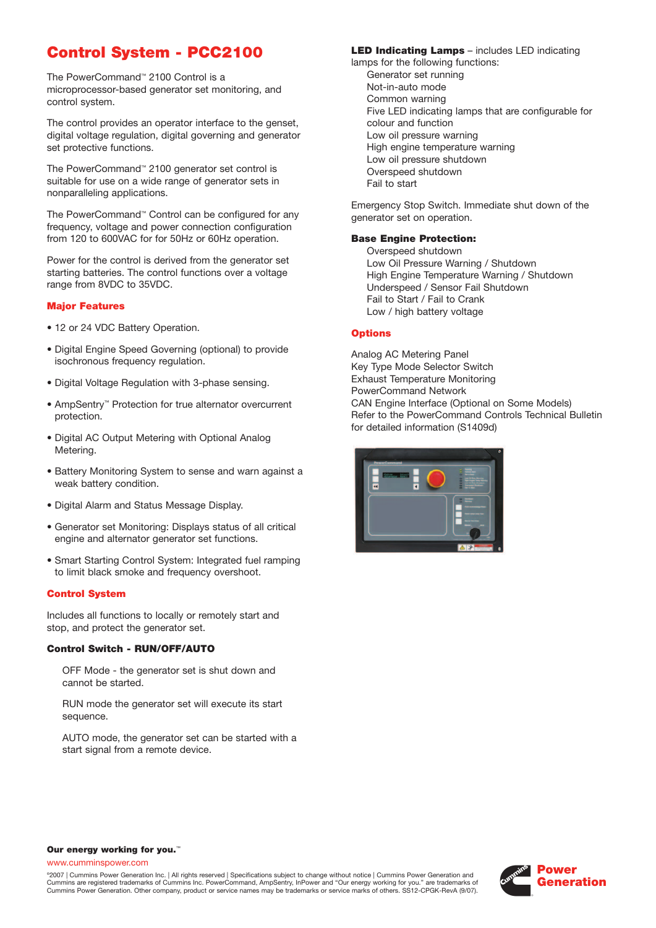# **Control System - PCC2100**

The PowerCommand™ 2100 Control is a microprocessor-based generator set monitoring, and control system.

The control provides an operator interface to the genset, digital voltage regulation, digital governing and generator set protective functions.

The PowerCommand™ 2100 generator set control is suitable for use on a wide range of generator sets in nonparalleling applications.

The PowerCommand™ Control can be configured for any frequency, voltage and power connection configuration from 120 to 600VAC for for 50Hz or 60Hz operation.

Power for the control is derived from the generator set starting batteries. The control functions over a voltage range from 8VDC to 35VDC.

#### **Major Features**

- 12 or 24 VDC Battery Operation.
- Digital Engine Speed Governing (optional) to provide isochronous frequency regulation.
- Digital Voltage Regulation with 3-phase sensing.
- AmpSentry™ Protection for true alternator overcurrent protection.
- Digital AC Output Metering with Optional Analog Metering.
- Battery Monitoring System to sense and warn against a weak battery condition.
- Digital Alarm and Status Message Display.
- Generator set Monitoring: Displays status of all critical engine and alternator generator set functions.
- Smart Starting Control System: Integrated fuel ramping to limit black smoke and frequency overshoot.

#### **Control System**

Includes all functions to locally or remotely start and stop, and protect the generator set.

#### **Control Switch - RUN/OFF/AUTO**

OFF Mode - the generator set is shut down and cannot be started.

RUN mode the generator set will execute its start sequence.

AUTO mode, the generator set can be started with a start signal from a remote device.

## **LED Indicating Lamps** – includes LED indicating

lamps for the following functions: Generator set running Not-in-auto mode Common warning Five LED indicating lamps that are configurable for colour and function Low oil pressure warning High engine temperature warning Low oil pressure shutdown Overspeed shutdown Fail to start

Emergency Stop Switch. Immediate shut down of the generator set on operation.

#### **Base Engine Protection:**

Overspeed shutdown Low Oil Pressure Warning / Shutdown High Engine Temperature Warning / Shutdown Underspeed / Sensor Fail Shutdown Fail to Start / Fail to Crank Low / high battery voltage

#### **Options**

Analog AC Metering Panel Key Type Mode Selector Switch Exhaust Temperature Monitoring PowerCommand Network CAN Engine Interface (Optional on Some Models) Refer to the PowerCommand Controls Technical Bulletin for detailed information (S1409d)



#### **Our energy working for you.**™

www.cumminspower.com

©2007 | Cummins Power Generation Inc. | All rights reserved | Specifications subject to change without notice | Cummins Power Generation and Cummins are registered trademarks of Cummins Inc. PowerCommand, AmpSentry, InPower and "Our energy working for you." are trademarks of Cummins Power Generation. Other company, product or service names may be trademarks or service marks of others. SS12-CPGK-RevA (9/07).